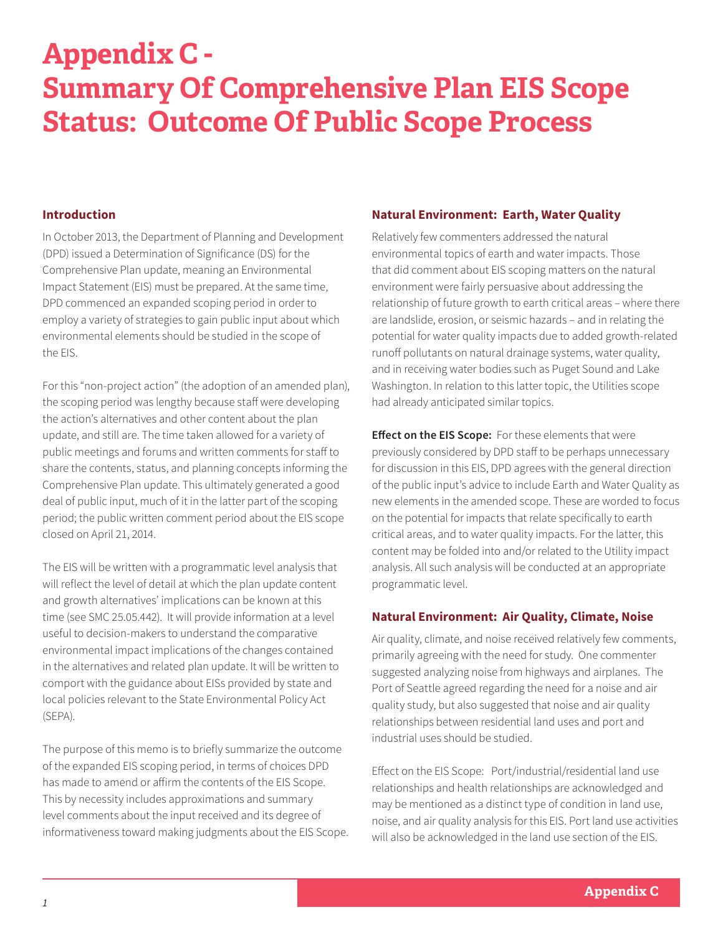# **Appendix C - Summary Of Comprehensive Plan EIS Scope Status: Outcome Of Public Scope Process**

#### **Introduction**

In October 2013, the Department of Planning and Development (DPD) issued a Determination of Significance (DS) for the Comprehensive Plan update, meaning an Environmental Impact Statement (EIS) must be prepared. At the same time, DPD commenced an expanded scoping period in order to employ a variety of strategies to gain public input about which environmental elements should be studied in the scope of the EIS.

For this "non-project action" (the adoption of an amended plan), the scoping period was lengthy because staff were developing the action's alternatives and other content about the plan update, and still are. The time taken allowed for a variety of public meetings and forums and written comments for staff to share the contents, status, and planning concepts informing the Comprehensive Plan update. This ultimately generated a good deal of public input, much of it in the latter part of the scoping period; the public written comment period about the EIS scope closed on April 21, 2014.

The EIS will be written with a programmatic level analysis that will reflect the level of detail at which the plan update content and growth alternatives' implications can be known at this time (see SMC 25.05.442). It will provide information at a level useful to decision-makers to understand the comparative environmental impact implications of the changes contained in the alternatives and related plan update. It will be written to comport with the guidance about EISs provided by state and local policies relevant to the State Environmental Policy Act (SEPA).

The purpose of this memo is to briefly summarize the outcome of the expanded EIS scoping period, in terms of choices DPD has made to amend or affirm the contents of the EIS Scope. This by necessity includes approximations and summary level comments about the input received and its degree of informativeness toward making judgments about the EIS Scope.

#### **Natural Environment: Earth, Water Quality**

Relatively few commenters addressed the natural environmental topics of earth and water impacts. Those that did comment about EIS scoping matters on the natural environment were fairly persuasive about addressing the relationship of future growth to earth critical areas – where there are landslide, erosion, or seismic hazards – and in relating the potential for water quality impacts due to added growth-related runoff pollutants on natural drainage systems, water quality, and in receiving water bodies such as Puget Sound and Lake Washington. In relation to this latter topic, the Utilities scope had already anticipated similar topics.

**Effect on the EIS Scope:** For these elements that were previously considered by DPD staff to be perhaps unnecessary for discussion in this EIS, DPD agrees with the general direction of the public input's advice to include Earth and Water Quality as new elements in the amended scope. These are worded to focus on the potential for impacts that relate specifically to earth critical areas, and to water quality impacts. For the latter, this content may be folded into and/or related to the Utility impact analysis. All such analysis will be conducted at an appropriate programmatic level.

#### **Natural Environment: Air Quality, Climate, Noise**

Air quality, climate, and noise received relatively few comments, primarily agreeing with the need for study. One commenter suggested analyzing noise from highways and airplanes. The Port of Seattle agreed regarding the need for a noise and air quality study, but also suggested that noise and air quality relationships between residential land uses and port and industrial uses should be studied.

Effect on the EIS Scope: Port/industrial/residential land use relationships and health relationships are acknowledged and may be mentioned as a distinct type of condition in land use, noise, and air quality analysis for this EIS. Port land use activities will also be acknowledged in the land use section of the EIS.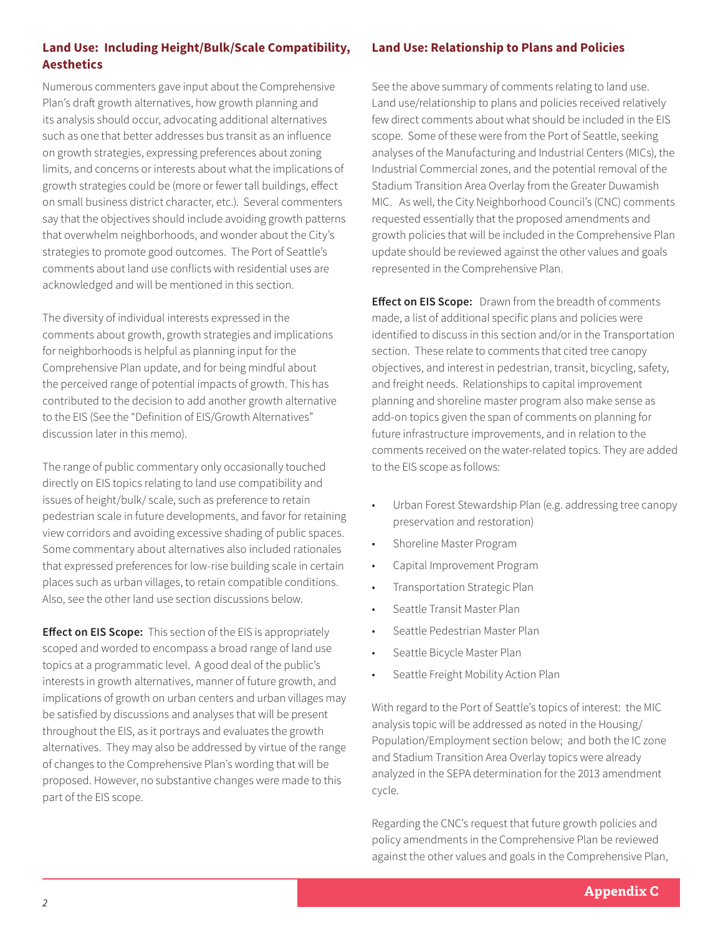### **Land Use: Including Height/Bulk/Scale Compatibility, Aesthetics**

Numerous commenters gave input about the Comprehensive Plan's draft growth alternatives, how growth planning and its analysis should occur, advocating additional alternatives such as one that better addresses bus transit as an influence on growth strategies, expressing preferences about zoning limits, and concerns or interests about what the implications of growth strategies could be (more or fewer tall buildings, effect on small business district character, etc.). Several commenters say that the objectives should include avoiding growth patterns that overwhelm neighborhoods, and wonder about the City's strategies to promote good outcomes. The Port of Seattle's comments about land use conflicts with residential uses are acknowledged and will be mentioned in this section.

The diversity of individual interests expressed in the comments about growth, growth strategies and implications for neighborhoods is helpful as planning input for the Comprehensive Plan update, and for being mindful about the perceived range of potential impacts of growth. This has contributed to the decision to add another growth alternative to the EIS (See the "Definition of EIS/Growth Alternatives" discussion later in this memo).

The range of public commentary only occasionally touched directly on EIS topics relating to land use compatibility and issues of height/bulk/ scale, such as preference to retain pedestrian scale in future developments, and favor for retaining view corridors and avoiding excessive shading of public spaces. Some commentary about alternatives also included rationales that expressed preferences for low-rise building scale in certain places such as urban villages, to retain compatible conditions. Also, see the other land use section discussions below.

**Effect on EIS Scope:** This section of the EIS is appropriately scoped and worded to encompass a broad range of land use topics at a programmatic level. A good deal of the public's interests in growth alternatives, manner of future growth, and implications of growth on urban centers and urban villages may be satisfied by discussions and analyses that will be present throughout the EIS, as it portrays and evaluates the growth alternatives. They may also be addressed by virtue of the range of changes to the Comprehensive Plan's wording that will be proposed. However, no substantive changes were made to this part of the EIS scope.

#### **Land Use: Relationship to Plans and Policies**

See the above summary of comments relating to land use. Land use/relationship to plans and policies received relatively few direct comments about what should be included in the EIS scope. Some of these were from the Port of Seattle, seeking analyses of the Manufacturing and Industrial Centers (MICs), the Industrial Commercial zones, and the potential removal of the Stadium Transition Area Overlay from the Greater Duwamish MIC. As well, the City Neighborhood Council's (CNC) comments requested essentially that the proposed amendments and growth policies that will be included in the Comprehensive Plan update should be reviewed against the other values and goals represented in the Comprehensive Plan.

**Effect on EIS Scope:** Drawn from the breadth of comments made, a list of additional specific plans and policies were identified to discuss in this section and/or in the Transportation section. These relate to comments that cited tree canopy objectives, and interest in pedestrian, transit, bicycling, safety, and freight needs. Relationships to capital improvement planning and shoreline master program also make sense as add-on topics given the span of comments on planning for future infrastructure improvements, and in relation to the comments received on the water-related topics. They are added to the EIS scope as follows:

- Urban Forest Stewardship Plan (e.g. addressing tree canopy preservation and restoration)
- Shoreline Master Program
- Capital Improvement Program
- Transportation Strategic Plan
- Seattle Transit Master Plan
- Seattle Pedestrian Master Plan
- Seattle Bicycle Master Plan
- Seattle Freight Mobility Action Plan

With regard to the Port of Seattle's topics of interest: the MIC analysis topic will be addressed as noted in the Housing/ Population/Employment section below; and both the IC zone and Stadium Transition Area Overlay topics were already analyzed in the SEPA determination for the 2013 amendment cycle.

Regarding the CNC's request that future growth policies and policy amendments in the Comprehensive Plan be reviewed against the other values and goals in the Comprehensive Plan,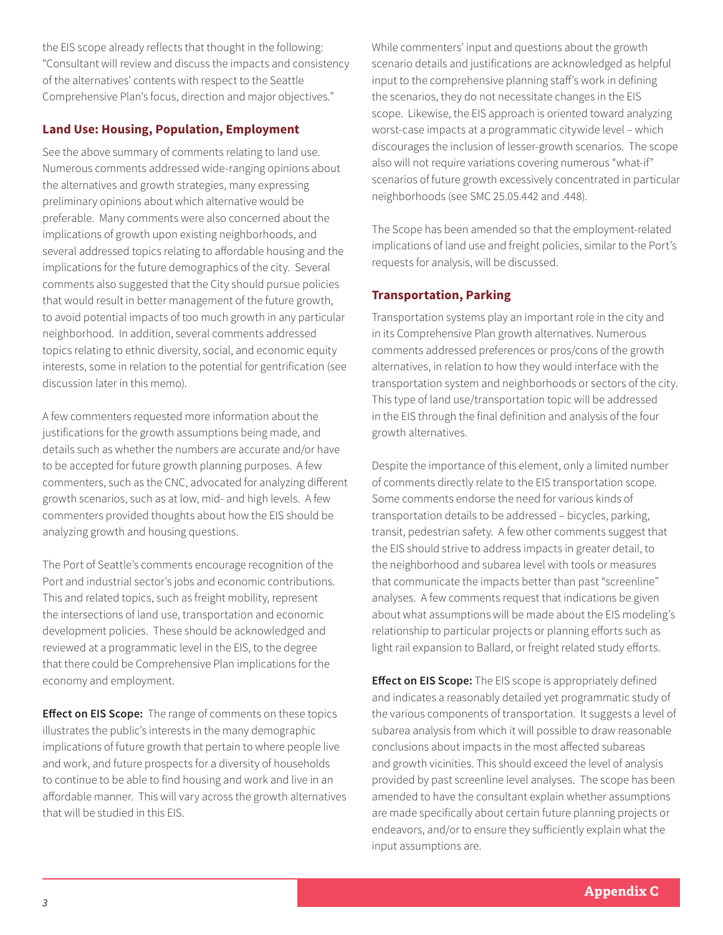the EIS scope already reflects that thought in the following: "Consultant will review and discuss the impacts and consistency of the alternatives' contents with respect to the Seattle Comprehensive Plan's focus, direction and major objectives."

# **Land Use: Housing, Population, Employment**

See the above summary of comments relating to land use. Numerous comments addressed wide-ranging opinions about the alternatives and growth strategies, many expressing preliminary opinions about which alternative would be preferable. Many comments were also concerned about the implications of growth upon existing neighborhoods, and several addressed topics relating to affordable housing and the implications for the future demographics of the city. Several comments also suggested that the City should pursue policies that would result in better management of the future growth, to avoid potential impacts of too much growth in any particular neighborhood. In addition, several comments addressed topics relating to ethnic diversity, social, and economic equity interests, some in relation to the potential for gentrification (see discussion later in this memo).

A few commenters requested more information about the justifications for the growth assumptions being made, and details such as whether the numbers are accurate and/or have to be accepted for future growth planning purposes. A few commenters, such as the CNC, advocated for analyzing different growth scenarios, such as at low, mid- and high levels. A few commenters provided thoughts about how the EIS should be analyzing growth and housing questions.

The Port of Seattle's comments encourage recognition of the Port and industrial sector's jobs and economic contributions. This and related topics, such as freight mobility, represent the intersections of land use, transportation and economic development policies. These should be acknowledged and reviewed at a programmatic level in the EIS, to the degree that there could be Comprehensive Plan implications for the economy and employment.

**Effect on EIS Scope:** The range of comments on these topics illustrates the public's interests in the many demographic implications of future growth that pertain to where people live and work, and future prospects for a diversity of households to continue to be able to find housing and work and live in an affordable manner. This will vary across the growth alternatives that will be studied in this EIS.

While commenters' input and questions about the growth scenario details and justifications are acknowledged as helpful input to the comprehensive planning staff's work in defining the scenarios, they do not necessitate changes in the EIS scope. Likewise, the EIS approach is oriented toward analyzing worst-case impacts at a programmatic citywide level – which discourages the inclusion of lesser-growth scenarios. The scope also will not require variations covering numerous "what-if" scenarios of future growth excessively concentrated in particular neighborhoods (see SMC 25.05.442 and .448).

The Scope has been amended so that the employment-related implications of land use and freight policies, similar to the Port's requests for analysis, will be discussed.

#### **Transportation, Parking**

Transportation systems play an important role in the city and in its Comprehensive Plan growth alternatives. Numerous comments addressed preferences or pros/cons of the growth alternatives, in relation to how they would interface with the transportation system and neighborhoods or sectors of the city. This type of land use/transportation topic will be addressed in the EIS through the final definition and analysis of the four growth alternatives.

Despite the importance of this element, only a limited number of comments directly relate to the EIS transportation scope. Some comments endorse the need for various kinds of transportation details to be addressed – bicycles, parking, transit, pedestrian safety. A few other comments suggest that the EIS should strive to address impacts in greater detail, to the neighborhood and subarea level with tools or measures that communicate the impacts better than past "screenline" analyses. A few comments request that indications be given about what assumptions will be made about the EIS modeling's relationship to particular projects or planning efforts such as light rail expansion to Ballard, or freight related study efforts.

**Effect on EIS Scope:** The EIS scope is appropriately defined and indicates a reasonably detailed yet programmatic study of the various components of transportation. It suggests a level of subarea analysis from which it will possible to draw reasonable conclusions about impacts in the most affected subareas and growth vicinities. This should exceed the level of analysis provided by past screenline level analyses. The scope has been amended to have the consultant explain whether assumptions are made specifically about certain future planning projects or endeavors, and/or to ensure they sufficiently explain what the input assumptions are.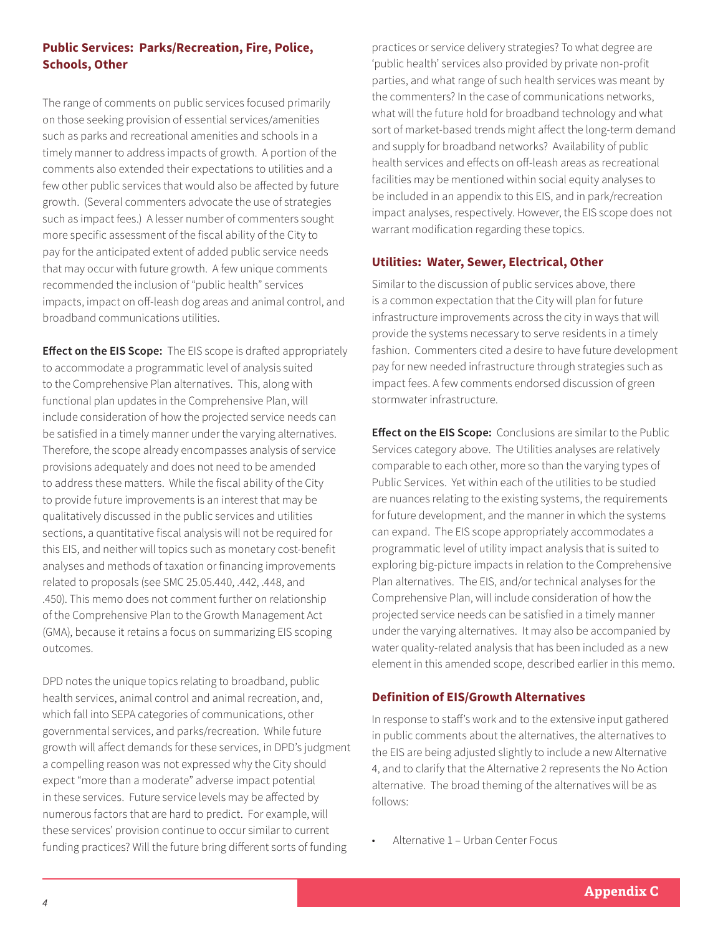# **Public Services: Parks/Recreation, Fire, Police, Schools, Other**

The range of comments on public services focused primarily on those seeking provision of essential services/amenities such as parks and recreational amenities and schools in a timely manner to address impacts of growth. A portion of the comments also extended their expectations to utilities and a few other public services that would also be affected by future growth. (Several commenters advocate the use of strategies such as impact fees.) A lesser number of commenters sought more specific assessment of the fiscal ability of the City to pay for the anticipated extent of added public service needs that may occur with future growth. A few unique comments recommended the inclusion of "public health" services impacts, impact on off-leash dog areas and animal control, and broadband communications utilities.

**Effect on the EIS Scope:** The EIS scope is drafted appropriately to accommodate a programmatic level of analysis suited to the Comprehensive Plan alternatives. This, along with functional plan updates in the Comprehensive Plan, will include consideration of how the projected service needs can be satisfied in a timely manner under the varying alternatives. Therefore, the scope already encompasses analysis of service provisions adequately and does not need to be amended to address these matters. While the fiscal ability of the City to provide future improvements is an interest that may be qualitatively discussed in the public services and utilities sections, a quantitative fiscal analysis will not be required for this EIS, and neither will topics such as monetary cost-benefit analyses and methods of taxation or financing improvements related to proposals (see SMC 25.05.440, .442, .448, and .450). This memo does not comment further on relationship of the Comprehensive Plan to the Growth Management Act (GMA), because it retains a focus on summarizing EIS scoping outcomes.

DPD notes the unique topics relating to broadband, public health services, animal control and animal recreation, and, which fall into SEPA categories of communications, other governmental services, and parks/recreation. While future growth will affect demands for these services, in DPD's judgment a compelling reason was not expressed why the City should expect "more than a moderate" adverse impact potential in these services. Future service levels may be affected by numerous factors that are hard to predict. For example, will these services' provision continue to occur similar to current funding practices? Will the future bring different sorts of funding

practices or service delivery strategies? To what degree are 'public health' services also provided by private non-profit parties, and what range of such health services was meant by the commenters? In the case of communications networks, what will the future hold for broadband technology and what sort of market-based trends might affect the long-term demand and supply for broadband networks? Availability of public health services and effects on off-leash areas as recreational facilities may be mentioned within social equity analyses to be included in an appendix to this EIS, and in park/recreation impact analyses, respectively. However, the EIS scope does not warrant modification regarding these topics.

#### **Utilities: Water, Sewer, Electrical, Other**

Similar to the discussion of public services above, there is a common expectation that the City will plan for future infrastructure improvements across the city in ways that will provide the systems necessary to serve residents in a timely fashion. Commenters cited a desire to have future development pay for new needed infrastructure through strategies such as impact fees. A few comments endorsed discussion of green stormwater infrastructure.

**Effect on the EIS Scope:** Conclusions are similar to the Public Services category above. The Utilities analyses are relatively comparable to each other, more so than the varying types of Public Services. Yet within each of the utilities to be studied are nuances relating to the existing systems, the requirements for future development, and the manner in which the systems can expand. The EIS scope appropriately accommodates a programmatic level of utility impact analysis that is suited to exploring big-picture impacts in relation to the Comprehensive Plan alternatives. The EIS, and/or technical analyses for the Comprehensive Plan, will include consideration of how the projected service needs can be satisfied in a timely manner under the varying alternatives. It may also be accompanied by water quality-related analysis that has been included as a new element in this amended scope, described earlier in this memo.

#### **Definition of EIS/Growth Alternatives**

In response to staff's work and to the extensive input gathered in public comments about the alternatives, the alternatives to the EIS are being adjusted slightly to include a new Alternative 4, and to clarify that the Alternative 2 represents the No Action alternative. The broad theming of the alternatives will be as follows:

• Alternative 1 – Urban Center Focus